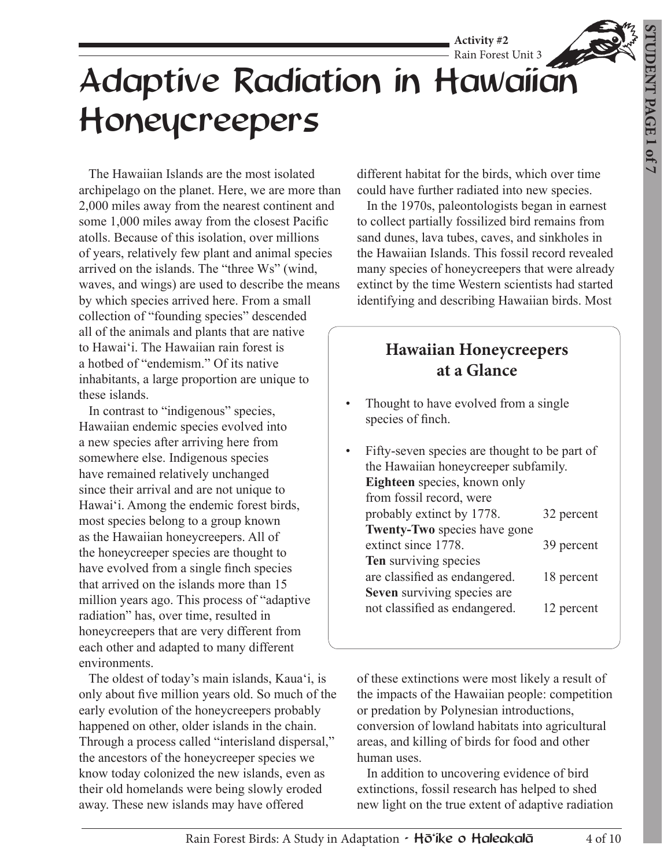# Rain Forest Unit 3 Adaptive Radiation in Hawaiian Honeycreepers

 The Hawaiian Islands are the most isolated archipelago on the planet. Here, we are more than 2,000 miles away from the nearest continent and some 1,000 miles away from the closest Pacific atolls. Because of this isolation, over millions of years, relatively few plant and animal species arrived on the islands. The "three Ws" (wind, waves, and wings) are used to describe the means by which species arrived here. From a small collection of "founding species" descended all of the animals and plants that are native to Hawaiʻi. The Hawaiian rain forest is a hotbed of "endemism." Of its native inhabitants, a large proportion are unique to these islands.

 In contrast to "indigenous" species, Hawaiian endemic species evolved into a new species after arriving here from somewhere else. Indigenous species have remained relatively unchanged since their arrival and are not unique to Hawaiʻi. Among the endemic forest birds, most species belong to a group known as the Hawaiian honeycreepers. All of the honeycreeper species are thought to have evolved from a single finch species that arrived on the islands more than 15 million years ago. This process of "adaptive radiation" has, over time, resulted in honeycreepers that are very different from each other and adapted to many different environments.

 The oldest of today's main islands, Kauaʻi, is only about five million years old. So much of the early evolution of the honeycreepers probably happened on other, older islands in the chain. Through a process called "interisland dispersal," the ancestors of the honeycreeper species we know today colonized the new islands, even as their old homelands were being slowly eroded away. These new islands may have offered

different habitat for the birds, which over time could have further radiated into new species.

**Activity #2**

 In the 1970s, paleontologists began in earnest to collect partially fossilized bird remains from sand dunes, lava tubes, caves, and sinkholes in the Hawaiian Islands. This fossil record revealed many species of honeycreepers that were already extinct by the time Western scientists had started identifying and describing Hawaiian birds. Most

## **Hawaiian Honeycreepers at a Glance**

- Thought to have evolved from a single species of finch.
- Fifty-seven species are thought to be part of the Hawaiian honeycreeper subfamily. **Eighteen** species, known only from fossil record, were probably extinct by 1778. 32 percent **Twenty-Two** species have gone extinct since 1778. 39 percent **Ten** surviving species are classified as endangered. 18 percent **Seven** surviving species are not classified as endangered. 12 percent

of these extinctions were most likely a result of the impacts of the Hawaiian people: competition or predation by Polynesian introductions, conversion of lowland habitats into agricultural areas, and killing of birds for food and other human uses.

 In addition to uncovering evidence of bird extinctions, fossil research has helped to shed new light on the true extent of adaptive radiation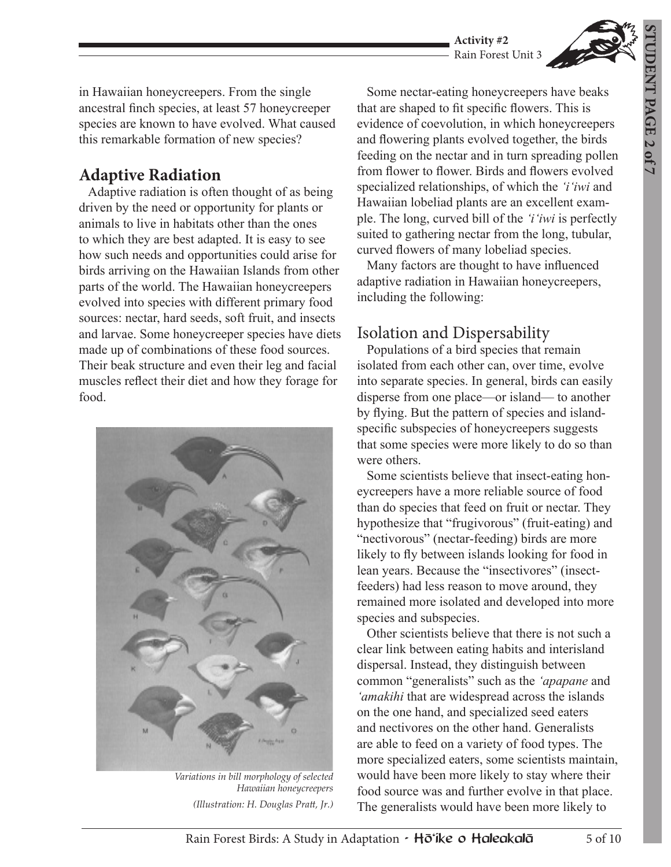

in Hawaiian honeycreepers. From the single ancestral finch species, at least 57 honeycreeper species are known to have evolved. What caused this remarkable formation of new species?

#### **Adaptive Radiation**

 Adaptive radiation is often thought of as being driven by the need or opportunity for plants or animals to live in habitats other than the ones to which they are best adapted. It is easy to see how such needs and opportunities could arise for birds arriving on the Hawaiian Islands from other parts of the world. The Hawaiian honeycreepers evolved into species with different primary food sources: nectar, hard seeds, soft fruit, and insects and larvae. Some honeycreeper species have diets made up of combinations of these food sources. Their beak structure and even their leg and facial muscles reflect their diet and how they forage for food.



*Variations in bill morphology of selected Hawaiian honeycreepers (Illustration: H. Douglas Pratt, Jr.)* 

 Some nectar-eating honeycreepers have beaks that are shaped to fit specific flowers. This is evidence of coevolution, in which honeycreepers and flowering plants evolved together, the birds feeding on the nectar and in turn spreading pollen from flower to flower. Birds and flowers evolved specialized relationships, of which the *'iʻiwi* and Hawaiian lobeliad plants are an excellent example. The long, curved bill of the *'iʻiwi* is perfectly suited to gathering nectar from the long, tubular, curved flowers of many lobeliad species.

 Many factors are thought to have influenced adaptive radiation in Hawaiian honeycreepers, including the following:

#### Isolation and Dispersability

 Populations of a bird species that remain isolated from each other can, over time, evolve into separate species. In general, birds can easily disperse from one place—or island— to another by flying. But the pattern of species and islandspecific subspecies of honeycreepers suggests that some species were more likely to do so than were others.

 Some scientists believe that insect-eating honeycreepers have a more reliable source of food than do species that feed on fruit or nectar. They hypothesize that "frugivorous" (fruit-eating) and "nectivorous" (nectar-feeding) birds are more likely to fly between islands looking for food in lean years. Because the "insectivores" (insectfeeders) had less reason to move around, they remained more isolated and developed into more species and subspecies.

 Other scientists believe that there is not such a clear link between eating habits and interisland dispersal. Instead, they distinguish between common "generalists" such as the *ʻapapane* and *ʻamakihi* that are widespread across the islands on the one hand, and specialized seed eaters and nectivores on the other hand. Generalists are able to feed on a variety of food types. The more specialized eaters, some scientists maintain, would have been more likely to stay where their food source was and further evolve in that place. The generalists would have been more likely to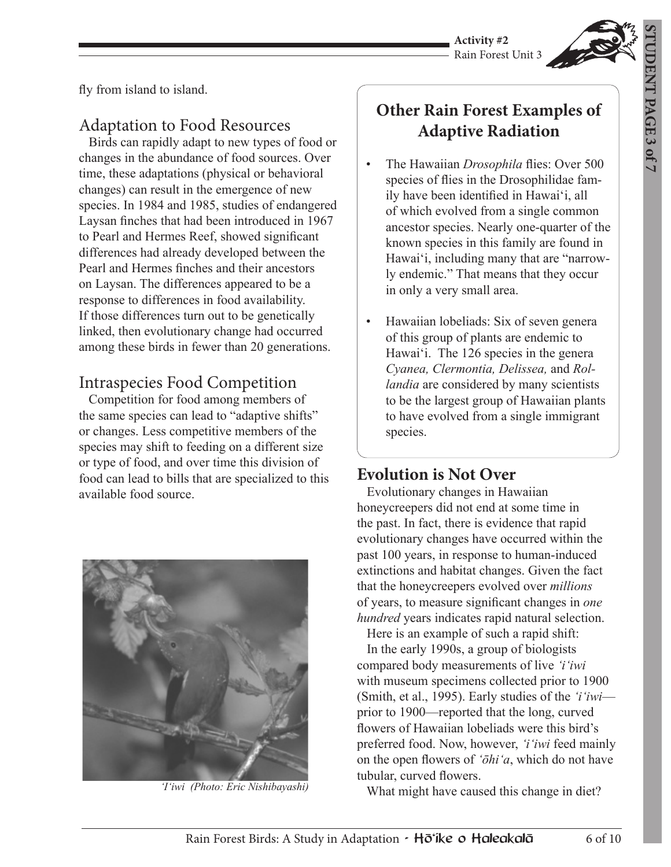**Activity #2** Rain Forest Unit 3



fly from island to island.

#### Adaptation to Food Resources

 Birds can rapidly adapt to new types of food or changes in the abundance of food sources. Over time, these adaptations (physical or behavioral changes) can result in the emergence of new species. In 1984 and 1985, studies of endangered Laysan finches that had been introduced in 1967 to Pearl and Hermes Reef, showed significant differences had already developed between the Pearl and Hermes finches and their ancestors on Laysan. The differences appeared to be a response to differences in food availability. If those differences turn out to be genetically linked, then evolutionary change had occurred among these birds in fewer than 20 generations.

#### Intraspecies Food Competition

 Competition for food among members of the same species can lead to "adaptive shifts" or changes. Less competitive members of the species may shift to feeding on a different size or type of food, and over time this division of food can lead to bills that are specialized to this available food source.



# **Other Rain Forest Examples of Adaptive Radiation**

- The Hawaiian *Drosophila* flies: Over 500 species of flies in the Drosophilidae family have been identified in Hawaiʻi, all of which evolved from a single common ancestor species. Nearly one-quarter of the known species in this family are found in Hawaiʻi, including many that are "narrowly endemic." That means that they occur in only a very small area.
- Hawaiian lobeliads: Six of seven genera of this group of plants are endemic to Hawai<sup>'</sup>i. The 126 species in the genera *Cyanea, Clermontia, Delissea,* and *Rollandia* are considered by many scientists to be the largest group of Hawaiian plants to have evolved from a single immigrant species.

#### **Evolution is Not Over**

 Evolutionary changes in Hawaiian honeycreepers did not end at some time in the past. In fact, there is evidence that rapid evolutionary changes have occurred within the past 100 years, in response to human-induced extinctions and habitat changes. Given the fact that the honeycreepers evolved over *millions* of years, to measure significant changes in *one hundred* years indicates rapid natural selection.

 Here is an example of such a rapid shift: In the early 1990s, a group of biologists compared body measurements of live *ʻiʻiwi*  with museum specimens collected prior to 1900 (Smith, et al., 1995). Early studies of the *ʻiʻiwi* prior to 1900—reported that the long, curved flowers of Hawaiian lobeliads were this bird's preferred food. Now, however, *ʻiʻiwi* feed mainly on the open flowers of *ʻōhiʻa*, which do not have tubular, curved flowers.

What might have caused this change in diet? *ʻIʻiwi (Photo: Eric Nishibayashi)*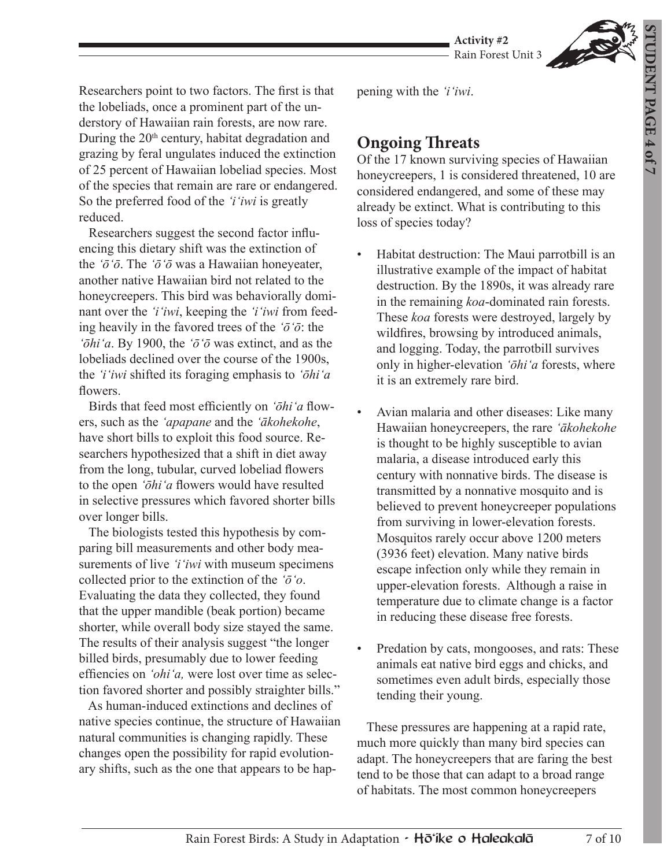**STUDENT PAGE FUDENT PAGE 4 of 7** 



Researchers point to two factors. The first is that the lobeliads, once a prominent part of the understory of Hawaiian rain forests, are now rare. During the 20<sup>th</sup> century, habitat degradation and grazing by feral ungulates induced the extinction of 25 percent of Hawaiian lobeliad species. Most of the species that remain are rare or endangered. So the preferred food of the *ʻiʻiwi* is greatly reduced.

 Researchers suggest the second factor influencing this dietary shift was the extinction of the *ʻōʻō*. The *ʻōʻō* was a Hawaiian honeyeater, another native Hawaiian bird not related to the honeycreepers. This bird was behaviorally dominant over the *ʻiʻiwi*, keeping the *ʻiʻiwi* from feeding heavily in the favored trees of the *ʻōʻō*: the *ʻōhiʻa*. By 1900, the *ʻōʻō* was extinct, and as the lobeliads declined over the course of the 1900s, the *ʻiʻiwi* shifted its foraging emphasis to *ʻōhiʻa* flowers.

 Birds that feed most efficiently on *ʻōhiʻa* flowers, such as the *ʻapapane* and the *ʻākohekohe*, have short bills to exploit this food source. Researchers hypothesized that a shift in diet away from the long, tubular, curved lobeliad flowers to the open *ʻōhiʻa* flowers would have resulted in selective pressures which favored shorter bills over longer bills.

 The biologists tested this hypothesis by comparing bill measurements and other body measurements of live *ʻiʻiwi* with museum specimens collected prior to the extinction of the *ʻōʻo*. Evaluating the data they collected, they found that the upper mandible (beak portion) became shorter, while overall body size stayed the same. The results of their analysis suggest "the longer billed birds, presumably due to lower feeding effiencies on *ʻohiʻa,* were lost over time as selection favored shorter and possibly straighter bills."

 As human-induced extinctions and declines of native species continue, the structure of Hawaiian natural communities is changing rapidly. These changes open the possibility for rapid evolutionary shifts, such as the one that appears to be happening with the *ʻiʻiwi*.

### **Ongoing Threats**

Of the 17 known surviving species of Hawaiian honeycreepers, 1 is considered threatened, 10 are considered endangered, and some of these may already be extinct. What is contributing to this loss of species today?

- Habitat destruction: The Maui parrotbill is an illustrative example of the impact of habitat destruction. By the 1890s, it was already rare in the remaining *koa*-dominated rain forests. These *koa* forests were destroyed, largely by wildfires, browsing by introduced animals, and logging. Today, the parrotbill survives only in higher-elevation *ʻōhiʻa* forests, where it is an extremely rare bird.
- Avian malaria and other diseases: Like many Hawaiian honeycreepers, the rare *ʻākohekohe* is thought to be highly susceptible to avian malaria, a disease introduced early this century with nonnative birds. The disease is transmitted by a nonnative mosquito and is believed to prevent honeycreeper populations from surviving in lower-elevation forests. Mosquitos rarely occur above 1200 meters (3936 feet) elevation. Many native birds escape infection only while they remain in upper-elevation forests. Although a raise in temperature due to climate change is a factor in reducing these disease free forests.
- Predation by cats, mongooses, and rats: These animals eat native bird eggs and chicks, and sometimes even adult birds, especially those tending their young.

 These pressures are happening at a rapid rate, much more quickly than many bird species can adapt. The honeycreepers that are faring the best tend to be those that can adapt to a broad range of habitats. The most common honeycreepers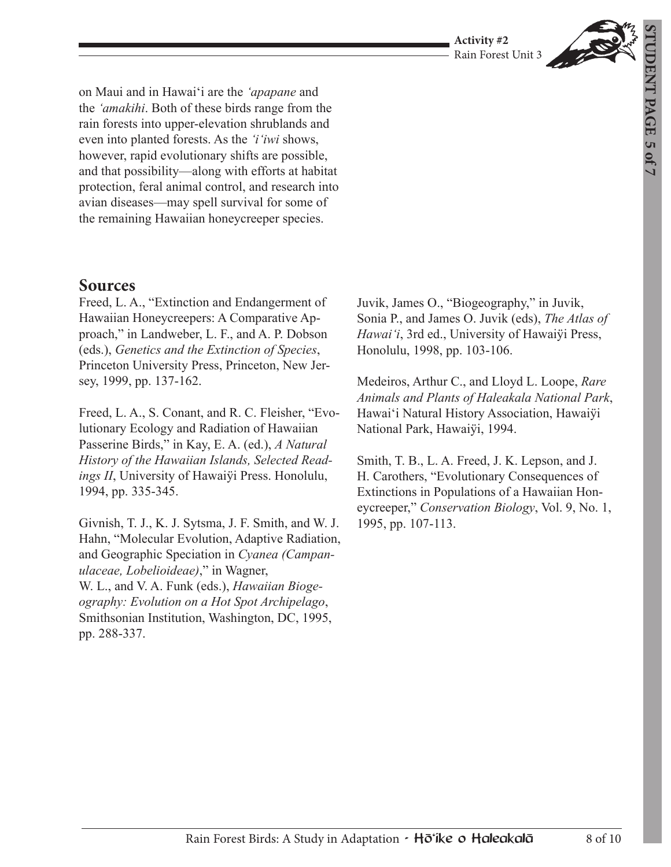#### **Activity #2** Rain Forest Unit 3



on Maui and in Hawaiʻi are the *ʻapapane* and the *ʻamakihi*. Both of these birds range from the rain forests into upper-elevation shrublands and even into planted forests. As the *ʻiʻiwi* shows, however, rapid evolutionary shifts are possible, and that possibility—along with efforts at habitat protection, feral animal control, and research into avian diseases—may spell survival for some of the remaining Hawaiian honeycreeper species.

#### **Sources**

Freed, L. A., "Extinction and Endangerment of Hawaiian Honeycreepers: A Comparative Approach," in Landweber, L. F., and A. P. Dobson (eds.), *Genetics and the Extinction of Species*, Princeton University Press, Princeton, New Jersey, 1999, pp. 137-162.

Freed, L. A., S. Conant, and R. C. Fleisher, "Evolutionary Ecology and Radiation of Hawaiian Passerine Birds," in Kay, E. A. (ed.), *A Natural History of the Hawaiian Islands, Selected Readings II*, University of Hawaiÿi Press. Honolulu, 1994, pp. 335-345.

Givnish, T. J., K. J. Sytsma, J. F. Smith, and W. J. Hahn, "Molecular Evolution, Adaptive Radiation, and Geographic Speciation in *Cyanea (Campanulaceae, Lobelioideae)*," in Wagner, W. L., and V. A. Funk (eds.), *Hawaiian Biogeography: Evolution on a Hot Spot Archipelago*, Smithsonian Institution, Washington, DC, 1995, pp. 288-337.

Juvik, James O., "Biogeography," in Juvik, Sonia P., and James O. Juvik (eds), *The Atlas of Hawaiʻi*, 3rd ed., University of Hawaiÿi Press, Honolulu, 1998, pp. 103-106.

Medeiros, Arthur C., and Lloyd L. Loope, *Rare Animals and Plants of Haleakala National Park*, Hawaiʻi Natural History Association, Hawaiÿi National Park, Hawaiÿi, 1994.

Smith, T. B., L. A. Freed, J. K. Lepson, and J. H. Carothers, "Evolutionary Consequences of Extinctions in Populations of a Hawaiian Honeycreeper," *Conservation Biology*, Vol. 9, No. 1, 1995, pp. 107-113.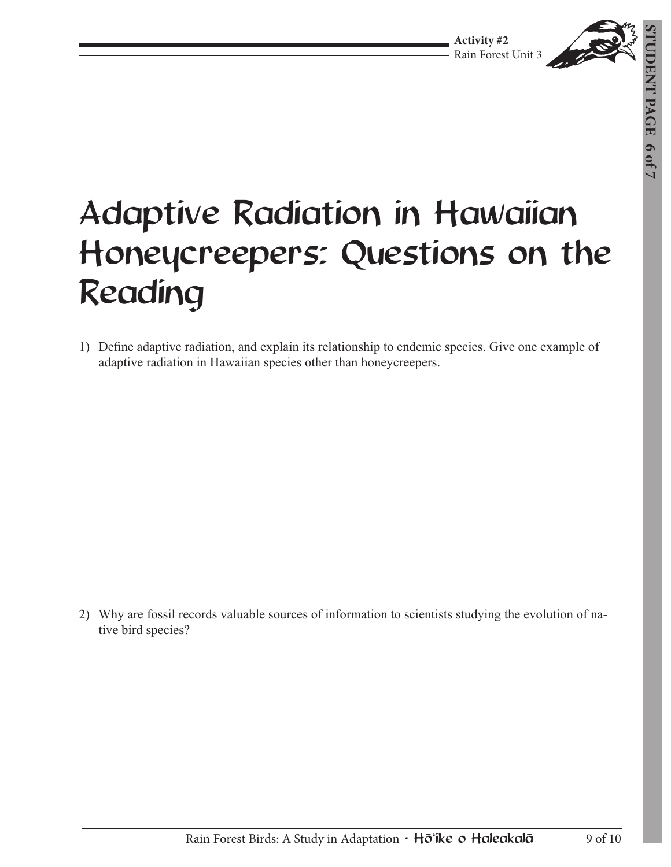

# Adaptive Radiation in Hawaiian Honeycreepers: Questions on the Reading

1) Define adaptive radiation, and explain its relationship to endemic species. Give one example of adaptive radiation in Hawaiian species other than honeycreepers.

2) Why are fossil records valuable sources of information to scientists studying the evolution of native bird species?